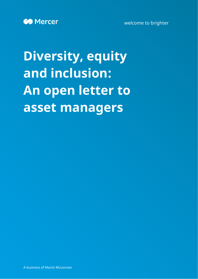

welcome to brighter

# **Diversity, equity and inclusion: An open letter to asset managers**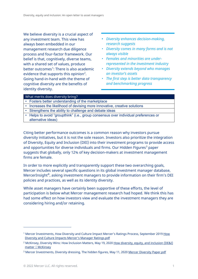We believe diversity is a crucial aspect of any investment team. This view has always been embedded in our management research due diligence process and four-factor framework. Our belief is that, cognitively, diverse teams, with a shared set of values, produce better outcomes<sup>[1](#page-1-0)</sup>: There is also academic evidence that supports this opinion<sup>[2](#page-1-1)</sup>. Going hand-in-hand with the theme of cognitive diversity are the benefits of identity diversity.

- *• Diversity enhances decision-making, research suggests*
- *• Diversity comes in many forms and is not always visible*
- *• Females and minorities are underrepresented in the investment industry*
- *• Diversity extends beyond who manages an investor's assets*
- *• The first step is better data transparency and benchmarking progress*

| What merits does diversity bring? |                                                                                     |  |  |  |  |  |  |
|-----------------------------------|-------------------------------------------------------------------------------------|--|--|--|--|--|--|
|                                   | • Fosters better understanding of the marketplace                                   |  |  |  |  |  |  |
| $\bullet$                         | Increases the likelihood of devising more innovative, creative solutions            |  |  |  |  |  |  |
|                                   | Strengthens the ability to challenge and debate ideas                               |  |  |  |  |  |  |
|                                   | • Helps to avoid "groupthink" (i.e., group consensus over individual preferences or |  |  |  |  |  |  |
|                                   | alternative ideas)                                                                  |  |  |  |  |  |  |

Citing better performance outcomes is a common reason why investors pursue diversity initiatives, but it is not the sole reason. Investors also prioritize the integration of Diversity, Equity and Inclusion (DEI) into their investment programs to provide access and opportunities for diverse individuals and firms. Our Hidden Figures<sup>[3](#page-1-2)</sup> paper suggests that globally, only 12% of key decision-makers at investment management firms are female.

In order to more explicitly and transparently support these two overarching goals, Mercer includes several specific questions in its global investment manager database, MercerInsight®, asking investment managers to provide information on their firm's DEI policies and practices, as well as its identity diversity.

While asset managers have certainly been supportive of these efforts, the level of participation is below what Mercer management research had hoped. We think this has had some effect on how investors view and evaluate the investment managers they are considering hiring and/or retaining.

<span id="page-1-0"></span><sup>&</sup>lt;sup>1</sup> Mercer Investments, How Diversity and Culture Impact Mercer's Ratings Process, September 2019 How Diversity and Culture Impacts Mercer's Manager Ratings.pdf

<span id="page-1-1"></span><sup>&</sup>lt;sup>2</sup> McKinsey, Diversity Wins: How Inclusion Matters, May 19, 2020 How diversity, equity, and inclusion (DE&I) [matter | McKinsey](https://www.mckinsey.com/featured-insights/diversity-and-inclusion/diversity-wins-how-inclusion-matters)

<span id="page-1-2"></span><sup>3</sup> Mercer Investments, Diversity dressing, The hidden figures, May 11, 2020 Mercer Diversity Paper.pdf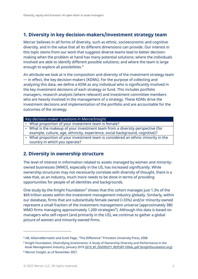# **1. Diversity in key decision-makers/investment strategy team**

Mercer believes in all forms of diversity, such as ethnic, socioeconomic and cognitive diversity, and in the value that all its different dimensions can provide. Our interest in this topic stems from our work that suggests diverse teams lead to better decisionmaking when the problem at hand has many potential solutions; where the individuals involved are able to identify different possible solutions; and where the team is large enough to explore all possibilities.<sup>[4](#page-2-0)</sup>

An attribute we look at is the composition and diversity of the investment strategy team — in effect, the key decision-makers (KDMs). For the purpose of collecting and analyzing this data, we define a KDM as any individual who is significantly involved in the key investment decisions of each strategy or fund. This includes portfolio managers, research analysts (where relevant) and investment committee members who are heavily involved in the management of a strategy. These KDMs drive the investment decisions and implementation of the portfolio and are accountable for the outcomes of the strategy.

## Key decision-maker questions in MercerInsight

- What proportion of your investment team is female?
- What is the makeup of your investment team from a diversity perspective (for example, culture, age, ethnicity, experience, social background, cognitive)?
- What proportion of your investment team is considered an ethnic minority in the country in which you operate?

## **2. Diversity in ownership structure**

The level of interest in information related to assets managed by women and minorityowned businesses (WMO), especially in the US, has increased significantly. While ownership structures may not necessarily correlate with diversity of thought, there is a view that, as an industry, much more needs to be done in terms of providing opportunities for people of all identities and backgrounds.

One study by the Knight Foundation<sup>[5](#page-2-1)</sup> shows that this cohort manages just 1.3% of the \$69 trillion assets within the investment management industry globally. Similarly, within our database, firms that are substantially female owned (>33%) and/or minority-owned represent a small fraction of the investment management universe (approximately 380 WMO firms managing approximately 1,200 strategies $^6$  $^6$ ). Although this data is based on managers who self-report (and primarily in the US), we continue to gather a global picture of women and minority-owned firms.

<span id="page-2-0"></span><sup>4</sup> AB, AllianceBernstein and Scott Page, "The Difference" Princeton University Press, 2008

<span id="page-2-1"></span><sup>5</sup> Knight Foundation, Diversifying Investments: A Study of Ownership Diversity and Performance in the Asset Management Industry, January 2019 2019 KF\_DIVERSITY\_REPORT-FINAL.pdf (knightfoundation.org)

<span id="page-2-2"></span><sup>6</sup> Mercer Insight, as of November 2021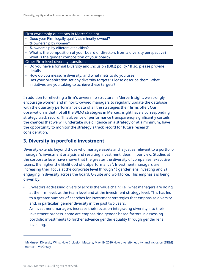#### Firm ownership questions in MercerInsight

- Does your Firm legally qualify as minority-owned?
- % ownership by women?
- % ownership by different ethnicities?
- What is the composition of your board of directors from a diversity perspective?
- What is the gender composition of your board?
- Other Firm-level diversity questions
- Do you have a formal Diversity and Inclusion (D&I) policy? If so, please provide details.
- How do you measure diversity, and what metrics do you use?
- Has your organization set any diversity targets? Please describe them. What initiatives are you taking to achieve these targets?

In addition to reflecting a firm's ownership structure in MercerInsight, we strongly encourage women and minority-owned managers to regularly update the database with the quarterly performance data of all the strategies their firms offer. Our observation is that not all the WMO strategies in MercerInsight have a corresponding strategy track record. This absence of performance transparency significantly curtails the chances that we will undertake due diligence on a strategy or at a minimum, have the opportunity to monitor the strategy's track record for future research consideration.

## **3. Diversity in portfolio investment**

Diversity extends beyond those who manage assets and is just as relevant to a portfolio manager's investment analysis and resulting investment ideas, in our view. Studies at the corporate level have shown that the greater the diversity of companies' executive teams, the higher the likelihood of outperformance<sup>[7](#page-3-0)</sup>. Investment managers are increasing their focus at the corporate level through 1) gender lens investing and 2) engaging in diversity across the board, C-Suite and workforce. This emphasis is being driven by:

- Investors addressing diversity across the value chain; i.e., what managers are doing at the firm level, at the team level and at the investment strategy level. This has led to a greater number of searches for investment strategies that emphasize diversity and, in particular, gender diversity in the past two years.
- As investment managers increase their focus on integrating diversity into their investment process, some are emphasizing gender-based factors in assessing portfolio investments to further advance gender equality through gender lens investing.

<span id="page-3-0"></span><sup>&</sup>lt;sup>7</sup> McKinsey, Diversity Wins: How Inclusion Matters, May 19, 2020 How diversity, equity, and inclusion (DE&I) [matter | McKinsey](https://www.mckinsey.com/featured-insights/diversity-and-inclusion/diversity-wins-how-inclusion-matters)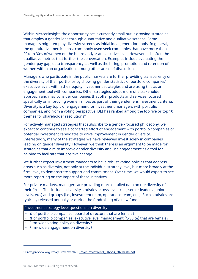Within MercerInsight, the opportunity set is currently small but is growing strategies that employ a gender lens through quantitative and qualitative screens. Some managers might employ diversity screens as initial idea generation tools. In general, the quantitative metrics most commonly used seek companies that have more than 20% to 30% of women on the board and/or at executive level. However, it is often the qualitative metrics that further the conversation. Examples include evaluating the gender pay gap, data transparency, as well as the hiring, promotion and retention of women within an organization, among other areas of discussion.

Managers who participate in the public markets are further providing transparency on the diversity of their portfolios by showing gender statistics of portfolio companies' executive levels within their equity investment strategies and are using this as an engagement tool with companies. Other strategies adopt more of a stakeholder approach and may consider companies that offer products and services focused specifically on improving women's lives as part of their gender lens investment criteria. Diversity is a key topic of engagement for investment managers with portfolio companies, and from a voting perspective, DEI has ranked among the top five or top 10 themes for shareholder resolutions<sup>[8](#page-4-0)</sup>.

For actively managed strategies that subscribe to a gender-focused philosophy, we expect to continue to see a concerted effort of engagement with portfolio companies or potential investment candidates to drive improvement in gender diversity. Interestingly, many of the strategies we have reviewed invest solely in companies leading on gender diversity. However, we think there is an argument to be made for strategies that aim to improve gender diversity and use engagement as a tool for helping to facilitate that positive change.

We further expect investment managers to have robust voting policies that address areas such as diversity, not only at the individual strategy level, but more broadly at the firm level, to demonstrate support and commitment. Over time, we would expect to see more reporting on the impact of these initiatives.

For private markets, managers are providing more detailed data on the diversity of their firms. This includes diversity statistics across levels (i.e., senior leaders, junior levels, etc.) and groups (i.e., investment team, operations team, etc.). Such statistics are typically released annually or during the fundraising of a new fund.

## Investment strategy level questions on diversity

- % of portfolio companies' board of directors that are female?
- % of portfolio companies' executive level management (C-Suite) that are female?
- Firm-wide voting policy on diversity?
- Firm-wide engagement on diversity?

<span id="page-4-0"></span><sup>8</sup> Proxypreview.org Proxy Preview 2021 ProxyPreview2021 FINv14 20210608.pdf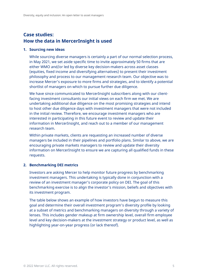# **Case studies: How the data in MercerInsight is used**

## **1. Sourcing new ideas**

While sourcing diverse managers is certainly a part of our normal selection process, in May 2021, we set aside specific time to invite approximately 50 firms that are either WMO and/or led by diverse key decision-makers across asset classes (equities, fixed income and diversifying alternatives) to present their investment philosophy and process to our management research team. Our objective was to increase Mercer's exposure to more firms and strategies, and to identify a potential shortlist of managers on which to pursue further due diligence.

We have since communicated to MercerInsight subscribers along with our clientfacing investment consultants our initial views on each firm we met. We are undertaking additional due diligence on the most promising strategies and intend to host other due diligence days with investment managers that were not included in the initial review. Therefore, we encourage investment managers who are interested in participating in this future event to review and update their information in MercerInsight, and reach out to a member of our management research team.

Within private markets, clients are requesting an increased number of diverse managers be included in their pipelines and portfolio plans. Similar to above, we are encouraging private markets managers to review and update their diversity information on MercerInsight to ensure we are capturing all qualified funds in these requests.

## **2. Benchmarking DEI metrics**

Investors are asking Mercer to help monitor future progress by benchmarking investment managers. This undertaking is typically done in conjunction with a review of an investment manager's corporate policy on DEI. The goal of this benchmarking exercise is to align the investor's mission, beliefs and objectives with its investment program.

The table below shows an example of how investors have begun to measure this goal and determine their overall investment program's diversity profile by looking at a subset of metrics and benchmarking managers on diversity through a variety of lenses. This includes gender makeup at firm ownership level, overall firm employee level and key decision-makers at the investment strategy or product level, as well as highlighting year-on-year progress (or lack thereof).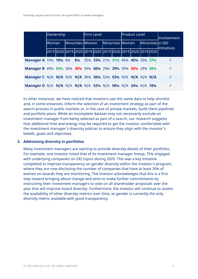|                                                                | Ownership |  |  |  | Firm Level |  |                                   |                                                             | <b>Product Level</b> |  |                   |  | Involvement  |
|----------------------------------------------------------------|-----------|--|--|--|------------|--|-----------------------------------|-------------------------------------------------------------|----------------------|--|-------------------|--|--------------|
|                                                                | lWomen l  |  |  |  |            |  | Minorities Women Minorities Women |                                                             |                      |  | Minorities in DEI |  | Initiatives  |
|                                                                |           |  |  |  |            |  |                                   | 2019 2020 2019 2020 2019 2020 2019 2020 2019 2020 2019 2020 |                      |  |                   |  |              |
| <b>Manager A</b> 10% 10% 8% 8% 35% 33% 21% 31% 45% 45% 20% 27% |           |  |  |  |            |  |                                   |                                                             |                      |  |                   |  | $\checkmark$ |
| Manager B 49% 54% 56% 30% 59% 60% 29% 29% 59% 50% 29% 38%      |           |  |  |  |            |  |                                   |                                                             |                      |  |                   |  | $\checkmark$ |
| Manager C N/A N/A N/A N/A 36% 36% 53% 53% N/A N/A N/A N/A      |           |  |  |  |            |  |                                   |                                                             |                      |  |                   |  | $\checkmark$ |
| Manager D N/A N/A N/A N/A N/A 52% N/A 58% N/A 24% N/A 18%      |           |  |  |  |            |  |                                   |                                                             |                      |  |                   |  | $\checkmark$ |

In other instances, we have noticed that investors use this same data to help shortlist and, in some instances, inform the selection of an investment strategy as part of the search process in public markets or, in the case of private markets, build client pipelines and portfolio plans. While an incomplete dataset may not necessarily exclude an investment manager from being selected as part of a search, our research suggests that additional time and energy may be required to get the investor comfortable with the investment manager's diversity policies to ensure they align with the investor's beliefs, goals and objectives.

## **3. Addressing diversity in portfolios**

Many investment managers are starting to provide diversity details of their portfolios. For example, one investor noted that of its investment manager lineup, 75% engaged with underlying companies on DEI topics during 2020. This was a key initiative completed to improve transparency on gender diversity within the investor's program, where they are now disclosing the number of companies that have at least 30% of women on boards they are monitoring. The investor acknowledges that this is a first step toward bringing about change and aims to make further commitments by instructing their investment managers to vote on all shareholder proposals over the year that will improve board diversity. Furthermore, the investor will continue to assess the availability of other diversity metrics over time, as gender is currently the only diversity metric available with good transparency.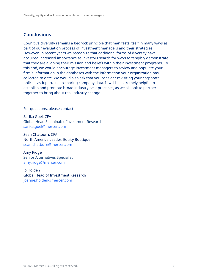# **Conclusions**

Cognitive diversity remains a bedrock principle that manifests itself in many ways as part of our evaluation process of investment managers and their strategies. However, in recent years we recognize that additional forms of diversity have acquired increased importance as investors search for ways to tangibly demonstrate that they are aligning their mission and beliefs within their investment programs. To this end, we would encourage investment managers to review and populate your firm's information in the databases with the information your organization has collected to date. We would also ask that you consider revisiting your corporate policies as it pertains to sharing company data. It will be extremely helpful to establish and promote broad industry best practices, as we all look to partner together to bring about real industry change.

For questions, please contact:

Sarika Goel, CFA Global Head Sustainable Investment Research [sarika.goel@mercer.com](mailto:sarika.goel@mercer.com)

Sean Chatburn, CFA North America Leader, Equity Boutique [sean.chatburn@mercer.com](mailto:sean.chatburn@mercer.com)

Amy Ridge Senior Alternatives Specialist [amy.ridge@mercer.com](mailto:amy.ridge@mercer.com)

Jo Holden Global Head of Investment Research [joanne.holden@mercer.com](mailto:joanne.holden@mercer.com)